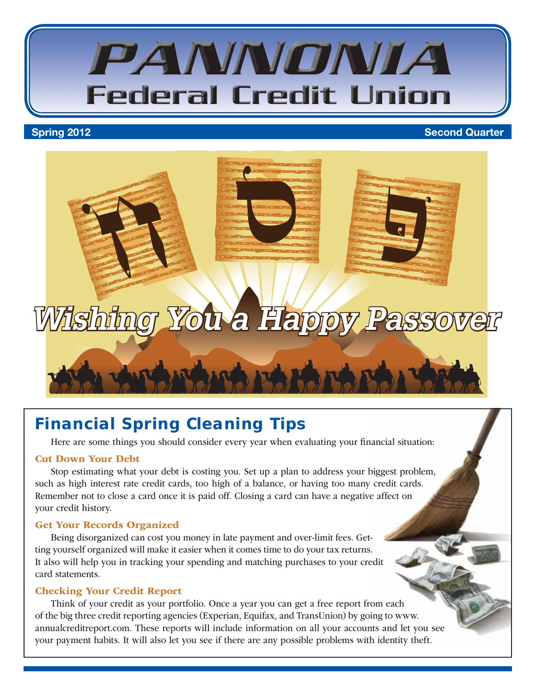

#### **Spring 2012** Second Quarter



## **Financial Spring Cleaning Tips**

Here are some things you should consider every year when evaluating your financial situation:

#### Cut Down Your Debt

Stop estimating what your debt is costing you. Set up a plan to address your biggest problem, such as high interest rate credit cards, too high of a balance, or having too many credit cards. Remember not to close a card once it is paid off. Closing a card can have a negative affect on your credit history.

#### Get Your Records Organized

Being disorganized can cost you money in late payment and over-limit fees. Getting yourself organized will make it easier when it comes time to do your tax returns. It also will help you in tracking your spending and matching purchases to your credit card statements.

#### Checking Your Credit Report

Think of your credit as your portfolio. Once a year you can get a free report from each of the big three credit reporting agencies (Experian, Equifax, and TransUnion) by going to www. annualcreditreport.com. These reports will include information on all your accounts and let you see your payment habits. It will also let you see if there are any possible problems with identity theft.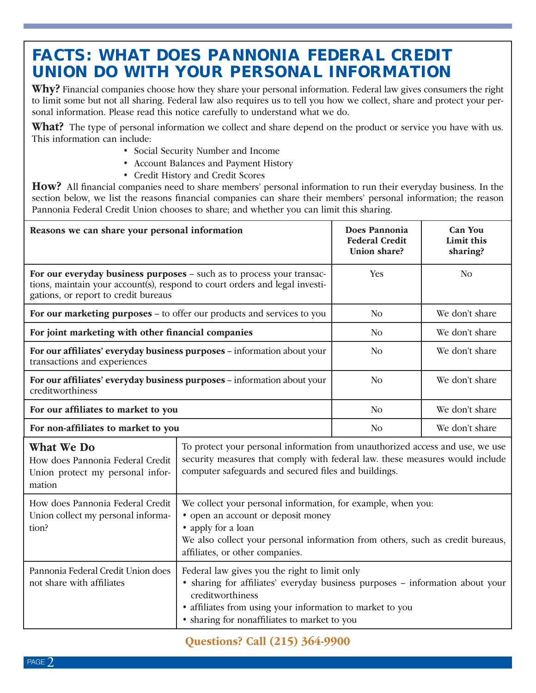## **FACTS: WHAT DOES PANNONIA FEDERAL CREDIT UNION DO WITH YOUR PERSONAL INFORMATION**

Why? Financial companies choose how they share your personal information. Federal law gives consumers the right to limit some but not all sharing. Federal law also requires us to tell you how we collect, share and protect your personal information. Please read this notice carefully to understand what we do.

What? The type of personal information we collect and share depend on the product or service you have with us. This information can include:

- Social Security Number and Income
- Account Balances and Payment History
- Credit History and Credit Scores

How? All financial companies need to share members' personal information to run their everyday business. In the section below, we list the reasons financial companies can share their members' personal information; the reason Pannonia Federal Credit Union chooses to share; and whether you can limit this sharing.

| Reasons we can share your personal information                                                                                                                                               |                                                                                                                                                                                                                                                                 | Does Pannonia<br><b>Federal Credit</b><br>Union share? | <b>Can You</b><br>Limit this<br>sharing? |
|----------------------------------------------------------------------------------------------------------------------------------------------------------------------------------------------|-----------------------------------------------------------------------------------------------------------------------------------------------------------------------------------------------------------------------------------------------------------------|--------------------------------------------------------|------------------------------------------|
| For our everyday business purposes - such as to process your transac-<br>tions, maintain your account(s), respond to court orders and legal investi-<br>gations, or report to credit bureaus |                                                                                                                                                                                                                                                                 | Yes                                                    | N <sub>o</sub>                           |
| For our marketing purposes – to offer our products and services to you                                                                                                                       |                                                                                                                                                                                                                                                                 | N <sub>o</sub>                                         | We don't share                           |
| For joint marketing with other financial companies                                                                                                                                           |                                                                                                                                                                                                                                                                 | N <sub>o</sub>                                         | We don't share                           |
| For our affiliates' everyday business purposes - information about your<br>transactions and experiences                                                                                      |                                                                                                                                                                                                                                                                 | N <sub>o</sub>                                         | We don't share                           |
| For our affiliates' everyday business purposes - information about your<br>creditworthiness                                                                                                  |                                                                                                                                                                                                                                                                 | N <sub>o</sub>                                         | We don't share                           |
| For our affiliates to market to you                                                                                                                                                          |                                                                                                                                                                                                                                                                 | N <sub>O</sub>                                         | We don't share                           |
| For non-affiliates to market to you                                                                                                                                                          |                                                                                                                                                                                                                                                                 | N <sub>o</sub>                                         | We don't share                           |
| <b>What We Do</b><br>How does Pannonia Federal Credit<br>Union protect my personal infor-<br>mation                                                                                          | To protect your personal information from unauthorized access and use, we use<br>security measures that comply with federal law. these measures would include<br>computer safeguards and secured files and buildings.                                           |                                                        |                                          |
| How does Pannonia Federal Credit<br>Union collect my personal informa-<br>tion?                                                                                                              | We collect your personal information, for example, when you:<br>• open an account or deposit money<br>• apply for a loan<br>We also collect your personal information from others, such as credit bureaus,<br>affiliates, or other companies.                   |                                                        |                                          |
| Pannonia Federal Credit Union does<br>not share with affiliates                                                                                                                              | Federal law gives you the right to limit only<br>• sharing for affiliates' everyday business purposes - information about your<br>creditworthiness<br>• affiliates from using your information to market to you<br>• sharing for nonaffiliates to market to you |                                                        |                                          |

Questions? Call (215) 364-9900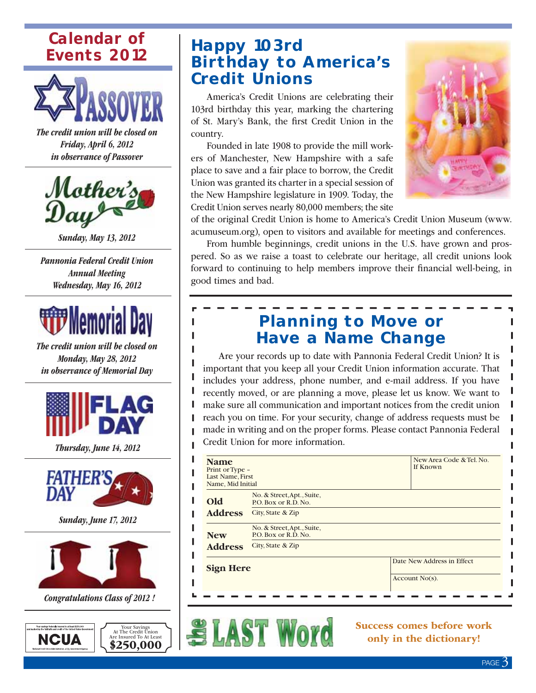## **Calendar of Events 2012**



The credit union will be closed on Friday, April 6, 2012 in observance of Passover



Sunday, May 13, 2012

Pannonia Federal Credit Union Annual Meeting Wednesday, May 16, 2012



The credit union will be closed on Monday, May 28, 2012 in observance of Memorial Day



Thursday, June 14, 2012



Sunday, June 17, 2012



Congratulations Class of 2012 !



Your Savings At The Credit Union Are Insured To At Least \$250,000

## **Happy 103rd Birthday to America's Credit Unions**

America's Credit Unions are celebrating their 103rd birthday this year, marking the chartering of St. Mary's Bank, the first Credit Union in the country.

Founded in late 1908 to provide the mill workers of Manchester, New Hampshire with a safe place to save and a fair place to borrow, the Credit Union was granted its charter in a special session of the New Hampshire legislature in 1909. Today, the Credit Union serves nearly 80,000 members; the site



of the original Credit Union is home to America's Credit Union Museum (www. acumuseum.org), open to visitors and available for meetings and conferences.

From humble beginnings, credit unions in the U.S. have grown and prospered. So as we raise a toast to celebrate our heritage, all credit unions look forward to continuing to help members improve their financial well-being, in good times and bad.

## **Planning to Move or Have a Name Change**

Are your records up to date with Pannonia Federal Credit Union? It is important that you keep all your Credit Union information accurate. That includes your address, phone number, and e-mail address. If you have recently moved, or are planning a move, please let us know. We want to make sure all communication and important notices from the credit union reach you on time. For your security, change of address requests must be made in writing and on the proper forms. Please contact Pannonia Federal Credit Union for more information.

| <b>Name</b><br>Print or Type -<br>Last Name, First<br>Name, Mid Initial |                                                    | New Area Code & Tel. No.<br>If Known |  |
|-------------------------------------------------------------------------|----------------------------------------------------|--------------------------------------|--|
| Old                                                                     | No. & Street, Apt., Suite,<br>P.O. Box or R.D. No. |                                      |  |
| <b>Address</b>                                                          | City, State & Zip                                  |                                      |  |
| <b>New</b>                                                              | No. & Street, Apt., Suite,<br>P.O. Box or R.D. No. |                                      |  |
| <b>Address</b>                                                          | City, State & Zip                                  |                                      |  |
| <b>Sign Here</b>                                                        |                                                    | Date New Address in Effect           |  |
|                                                                         |                                                    | Account $No(s)$ .                    |  |
|                                                                         |                                                    |                                      |  |



Success comes before work only in the dictionary!

П